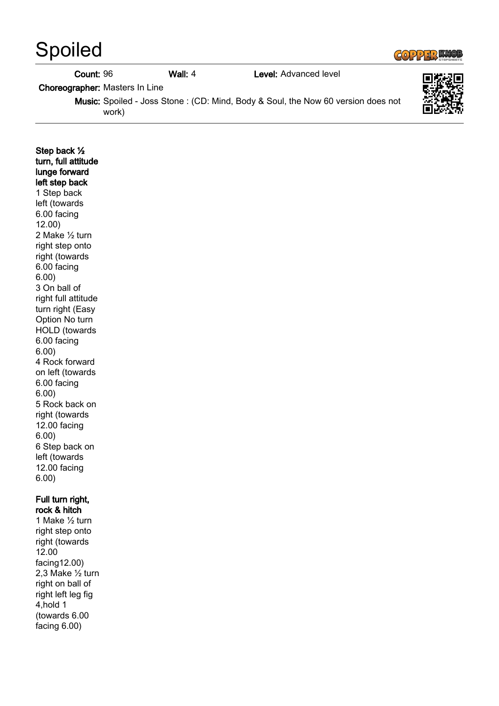## COPPER KNOB

| <b>Spoiled</b>                        |           |                                                                                         | $G(0)$ $227$ $370B$ |
|---------------------------------------|-----------|-----------------------------------------------------------------------------------------|---------------------|
| Count: 96                             | Wall: $4$ | Level: Advanced level                                                                   |                     |
| <b>Choreographer:</b> Masters In Line |           |                                                                                         |                     |
| work)                                 |           | <b>Music:</b> Spoiled - Joss Stone: (CD: Mind, Body & Soul, the Now 60 version does not |                     |
|                                       |           |                                                                                         |                     |

| Step back 1/2<br>turn, full attitude<br>lunge forward<br>left step back |  |  |  |
|-------------------------------------------------------------------------|--|--|--|
| 1 Step back                                                             |  |  |  |
| left (towards                                                           |  |  |  |
| 6.00 facing                                                             |  |  |  |
| 12.00)                                                                  |  |  |  |
| 2 Make 1/2 turn                                                         |  |  |  |
| right step onto                                                         |  |  |  |
| right (towards                                                          |  |  |  |
| 6.00 facing                                                             |  |  |  |
| 6.00)                                                                   |  |  |  |
| 3 On ball of                                                            |  |  |  |
| right full attitude                                                     |  |  |  |
| turn right (Easy                                                        |  |  |  |
| Option No turn                                                          |  |  |  |
| <b>HOLD</b> (towards                                                    |  |  |  |
| 6.00 facing                                                             |  |  |  |
| 6.00)                                                                   |  |  |  |
| 4 Rock forward                                                          |  |  |  |
| on left (towards                                                        |  |  |  |
| 6.00 facing<br>6.00)                                                    |  |  |  |
| 5 Rock back on                                                          |  |  |  |
| right (towards                                                          |  |  |  |
| 12.00 facing                                                            |  |  |  |
| 6.00)                                                                   |  |  |  |
| 6 Step back on                                                          |  |  |  |
| left (towards                                                           |  |  |  |
| 12.00 facing                                                            |  |  |  |
| 6.00)                                                                   |  |  |  |
|                                                                         |  |  |  |
| Full turn right,<br>rock & hitch                                        |  |  |  |
| 1 Make 1/2 turn                                                         |  |  |  |
| right step onto                                                         |  |  |  |
| right (towards                                                          |  |  |  |
| 12.00                                                                   |  |  |  |
| facing12.00)                                                            |  |  |  |
| 2,3 Make 1/2 turn                                                       |  |  |  |

right on ball of right left leg fig  $4, hold 1$ (towards 6.00 facing 6.00)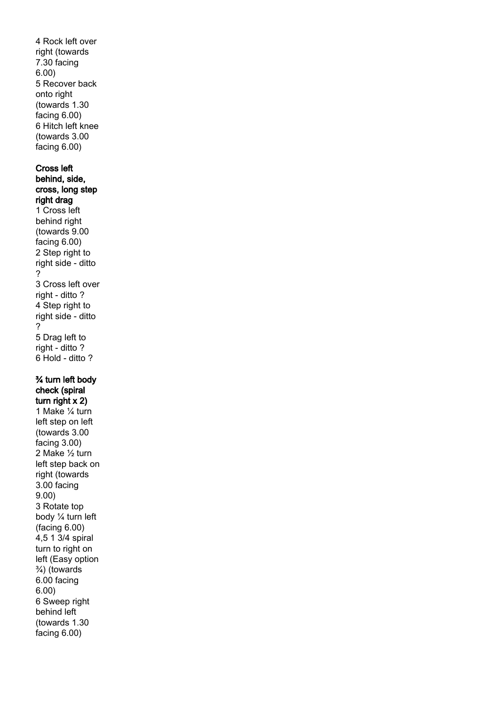4 Rock left over right (towards 7.30 facing 6.00) 5 Recover back onto right (towards 1.30 facing 6.00) 6 Hitch left knee (towards 3.00 facing 6.00) Cross left behind, side, cross, long step right drag 1 Cross left behind right (towards 9.00 facing 6.00) 2 Step right to right side - ditto ? 3 Cross left over right - ditto ? 4 Step right to right side - ditto ? 5 Drag left to right - ditto ? 6 Hold - ditto ? ¾ turn left body check (spiral turn right x 2) 1 Make ¼ turn left step on left (towards 3.00 facing 3.00) 2 Make ½ turn left step back on right (towards 3.00 facing 9.00) 3 Rotate top body ¼ turn left (facing 6.00) 4,5 1 3/4 spiral turn to right on left (Easy option ¾) (towards 6.00 facing 6.00) 6 Sweep right behind left (towards 1.30 facing 6.00)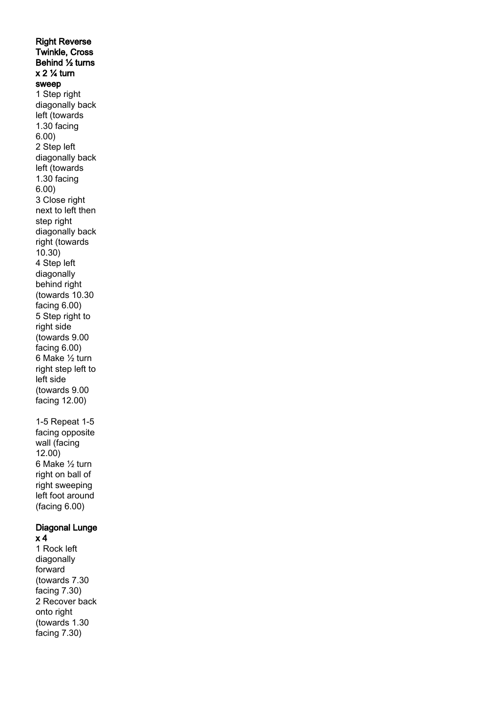Right Reverse Twinkle, Cross Behind ½ turns  $x 2 \frac{1}{4}$  turn sweep 1 Step right diagonally back left (towards 1.30 facing 6.00) 2 Step left diagonally back left (towards 1.30 facing 6.00) 3 Close right next to left then step right diagonally back right (towards 10.30) 4 Step left diagonally behind right (towards 10.30 facing 6.00) 5 Step right to right side (towards 9.00 facing 6.00) 6 Make ½ turn right step left to left side (towards 9.00 facing 12.00) 1-5 Repeat 1-5

facing opposite wall (facing 12.00) 6 Make ½ turn right on ball of right sweeping left foot around (facing 6.00)

## Diagonal Lunge x 4

1 Rock left diagonally forward (towards 7.30 facing 7.30) 2 Recover back onto right (towards 1.30 facing 7.30)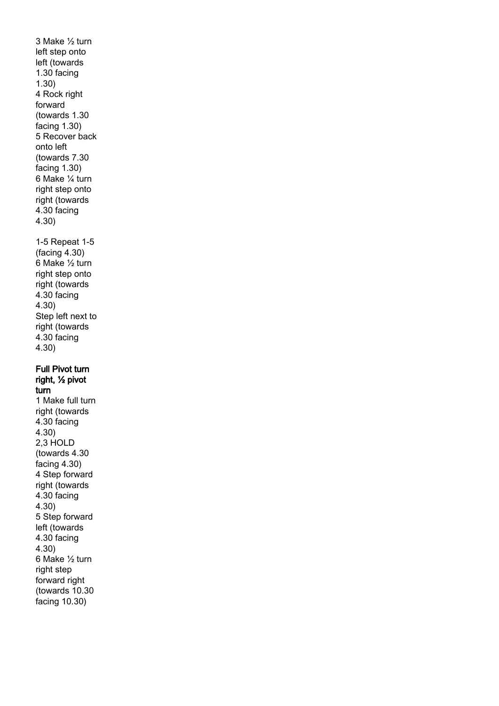3 Make ½ turn left step onto left (towards 1.30 facing 1.30) 4 Rock right forward (towards 1.30 facing 1.30) 5 Recover back onto left (towards 7.30 facing 1.30) 6 Make ¼ turn right step onto right (towards 4.30 facing 4.30) 1-5 Repeat 1-5 (facing 4.30) 6 Make ½ turn right step onto right (towards 4.30 facing 4.30) Step left next to right (towards 4.30 facing 4.30) Full Pivot turn right, ½ pivot turn 1 Make full turn right (towards 4.30 facing 4.30) 2,3 HOLD (towards 4.30 facing 4.30) 4 Step forward right (towards 4.30 facing 4.30) 5 Step forward left (towards 4.30 facing 4.30) 6 Make ½ turn right step forward right (towards 10.30 facing 10.30)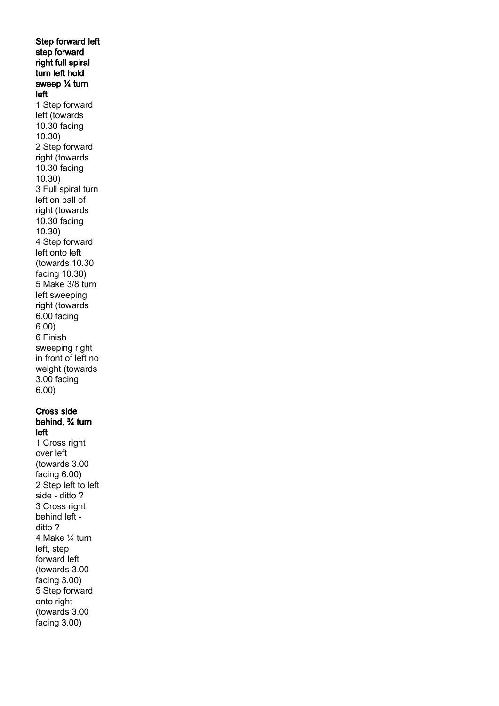Step forward left step forward right full spiral turn left hold sweep ¼ turn left 1 Step forward left (towards 10.30 facing 10.30) 2 Step forward right (towards 10.30 facing 10.30) 3 Full spiral turn left on ball of right (towards 10.30 facing 10.30) 4 Step forward left onto left (towards 10.30 facing 10.30) 5 Make 3/8 turn left sweeping right (towards 6.00 facing 6.00) 6 Finish sweeping right in front of left no weight (towards 3.00 facing 6.00) Cross side

## behind, ¾ turn left

1 Cross right over left (towards 3.00 facing 6.00) 2 Step left to left side - ditto ? 3 Cross right behind left ditto ? 4 Make ¼ turn left, step forward left (towards 3.00 facing 3.00) 5 Step forward onto right (towards 3.00 facing 3.00)